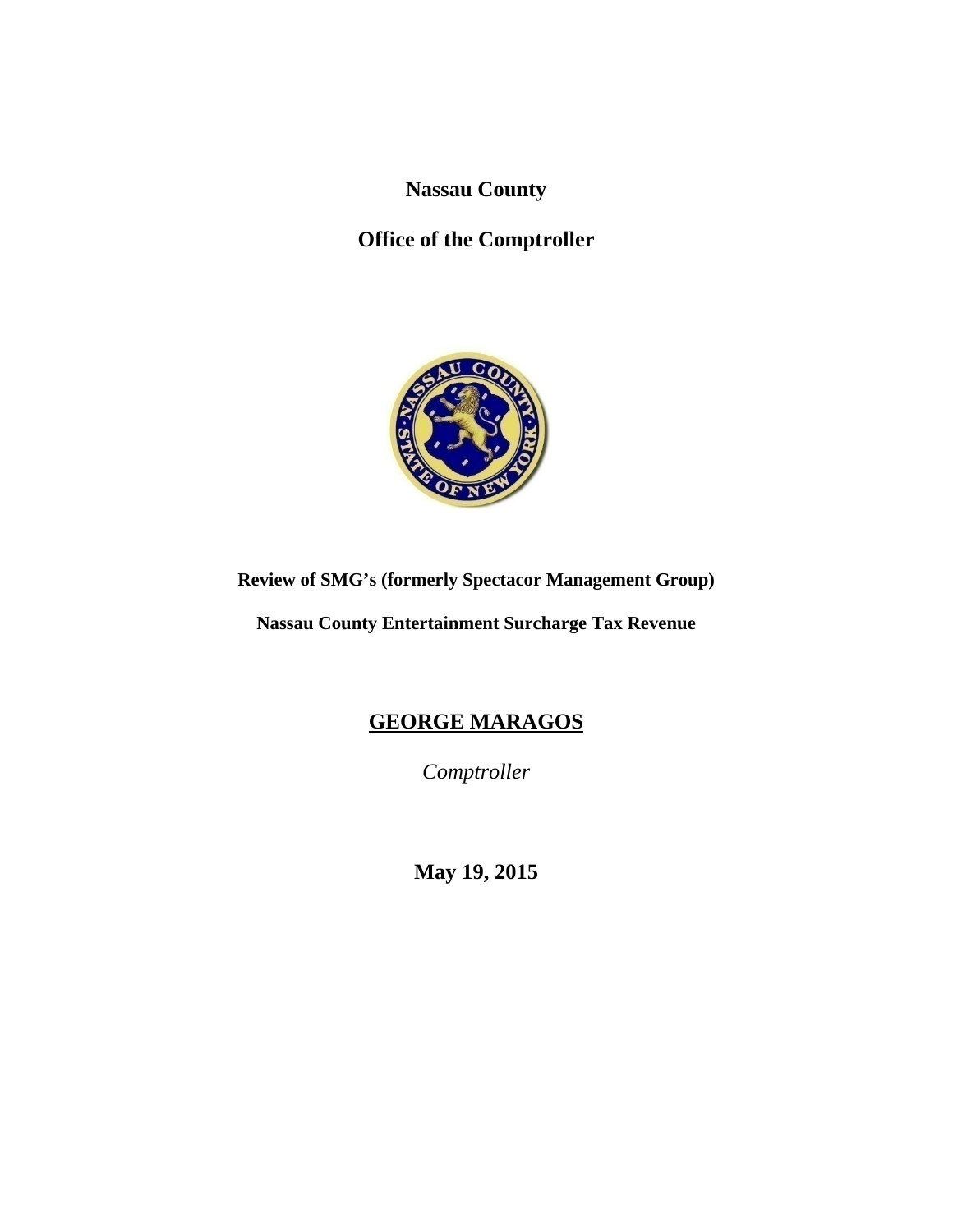**Nassau County** 

# **Office of the Comptroller**



# **Review of SMG's (formerly Spectacor Management Group)**

**Nassau County Entertainment Surcharge Tax Revenue**

# **GEORGE MARAGOS**

*Comptroller* 

**May 19, 2015**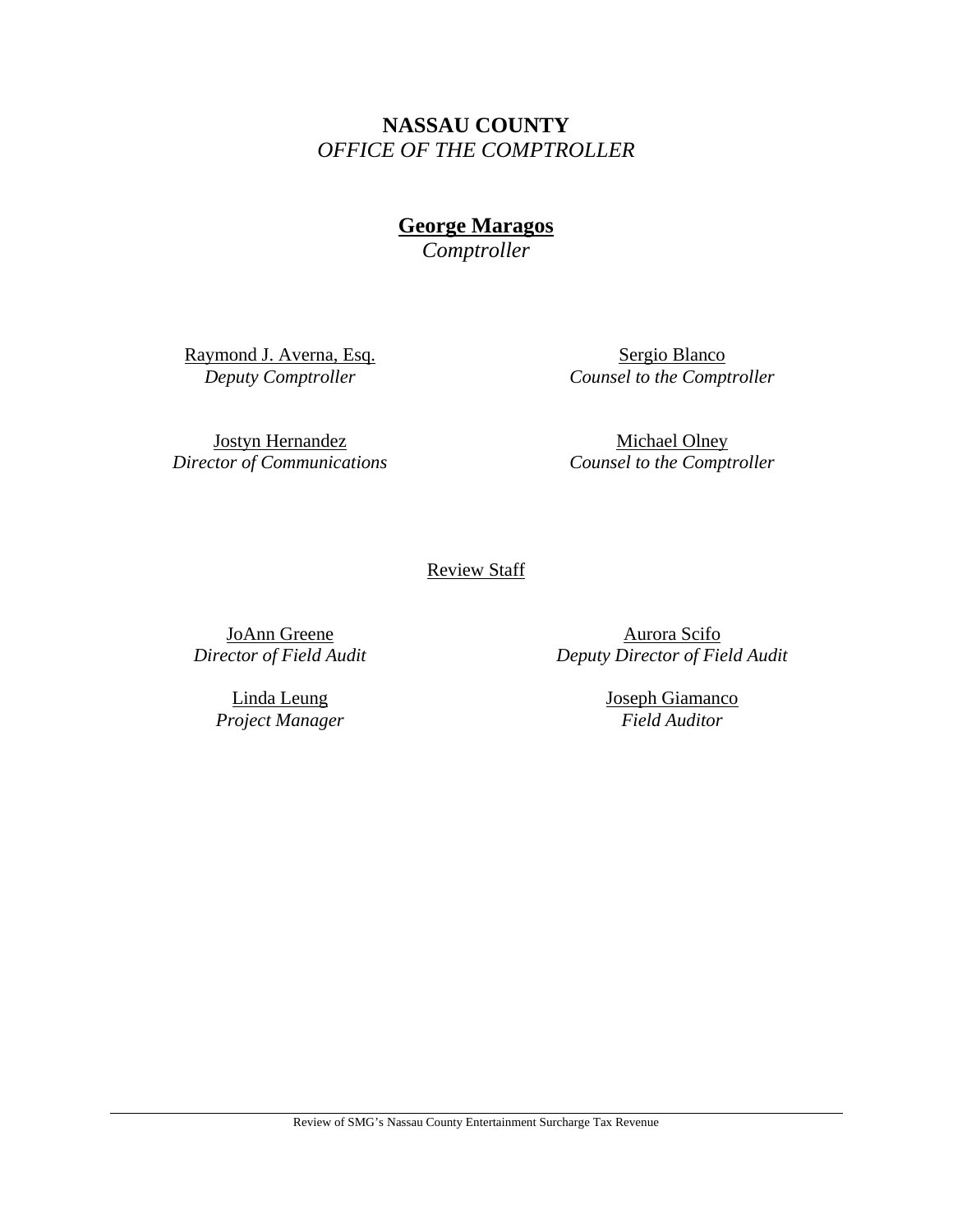# **NASSAU COUNTY**  *OFFICE OF THE COMPTROLLER*

**George Maragos** 

*Comptroller* 

Raymond J. Averna, Esq. *Deputy Comptroller* 

Sergio Blanco *Counsel to the Comptroller* 

Jostyn Hernandez *Director of Communications* 

Michael Olney *Counsel to the Comptroller* 

Review Staff

JoAnn Greene *Director of Field Audit* 

> Linda Leung *Project Manager*

Aurora Scifo *Deputy Director of Field Audit* 

> Joseph Giamanco *Field Auditor*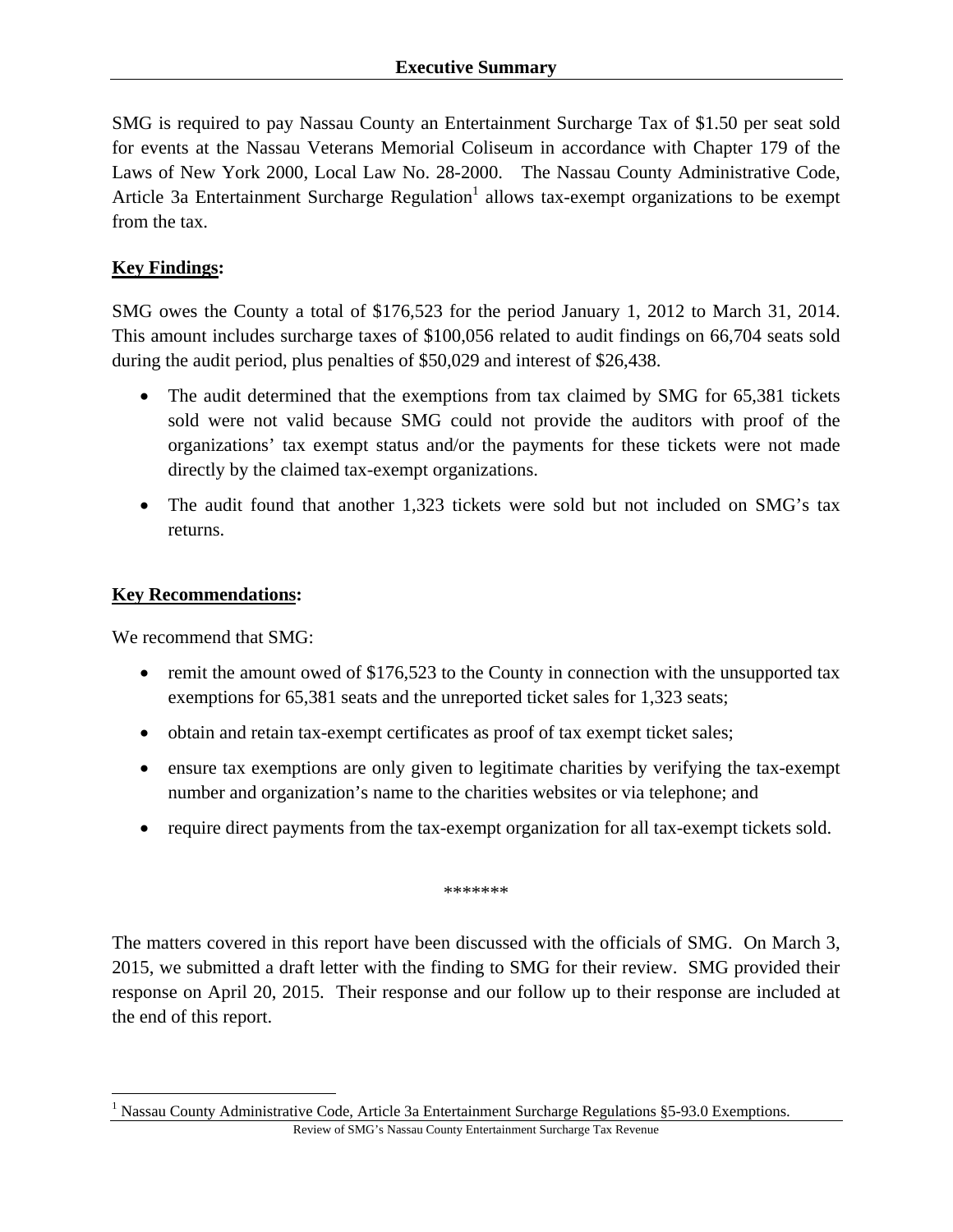SMG is required to pay Nassau County an Entertainment Surcharge Tax of \$1.50 per seat sold for events at the Nassau Veterans Memorial Coliseum in accordance with Chapter 179 of the Laws of New York 2000, Local Law No. 28-2000. The Nassau County Administrative Code, Article 3a Entertainment Surcharge Regulation<sup>1</sup> allows tax-exempt organizations to be exempt from the tax.

# **Key Findings:**

SMG owes the County a total of \$176,523 for the period January 1, 2012 to March 31, 2014. This amount includes surcharge taxes of \$100,056 related to audit findings on 66,704 seats sold during the audit period, plus penalties of \$50,029 and interest of \$26,438.

- The audit determined that the exemptions from tax claimed by SMG for 65,381 tickets sold were not valid because SMG could not provide the auditors with proof of the organizations' tax exempt status and/or the payments for these tickets were not made directly by the claimed tax-exempt organizations.
- The audit found that another 1,323 tickets were sold but not included on SMG's tax returns.

# **Key Recommendations:**

We recommend that SMG:

 $\overline{a}$ 

- remit the amount owed of \$176,523 to the County in connection with the unsupported tax exemptions for 65,381 seats and the unreported ticket sales for 1,323 seats;
- obtain and retain tax-exempt certificates as proof of tax exempt ticket sales;
- ensure tax exemptions are only given to legitimate charities by verifying the tax-exempt number and organization's name to the charities websites or via telephone; and
- require direct payments from the tax-exempt organization for all tax-exempt tickets sold.

\*\*\*\*\*\*\*

The matters covered in this report have been discussed with the officials of SMG. On March 3, 2015, we submitted a draft letter with the finding to SMG for their review. SMG provided their response on April 20, 2015. Their response and our follow up to their response are included at the end of this report.

<sup>&</sup>lt;sup>1</sup> Nassau County Administrative Code, Article 3a Entertainment Surcharge Regulations §5-93.0 Exemptions.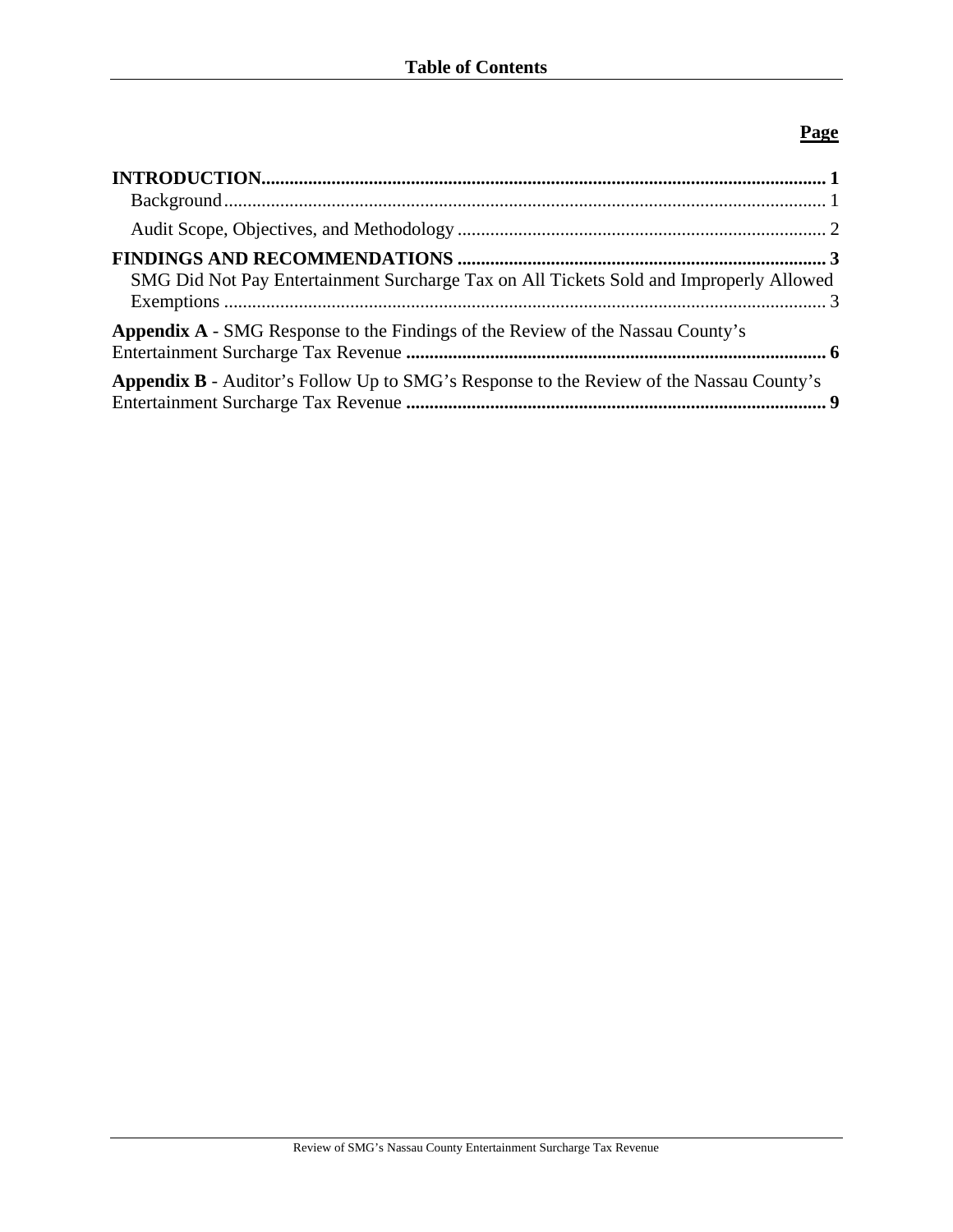# **Page**

| $\bf INTRODUCTION. 1$                                                                          |  |
|------------------------------------------------------------------------------------------------|--|
|                                                                                                |  |
|                                                                                                |  |
| SMG Did Not Pay Entertainment Surcharge Tax on All Tickets Sold and Improperly Allowed         |  |
| <b>Appendix A</b> - SMG Response to the Findings of the Review of the Nassau County's          |  |
| <b>Appendix B</b> - Auditor's Follow Up to SMG's Response to the Review of the Nassau County's |  |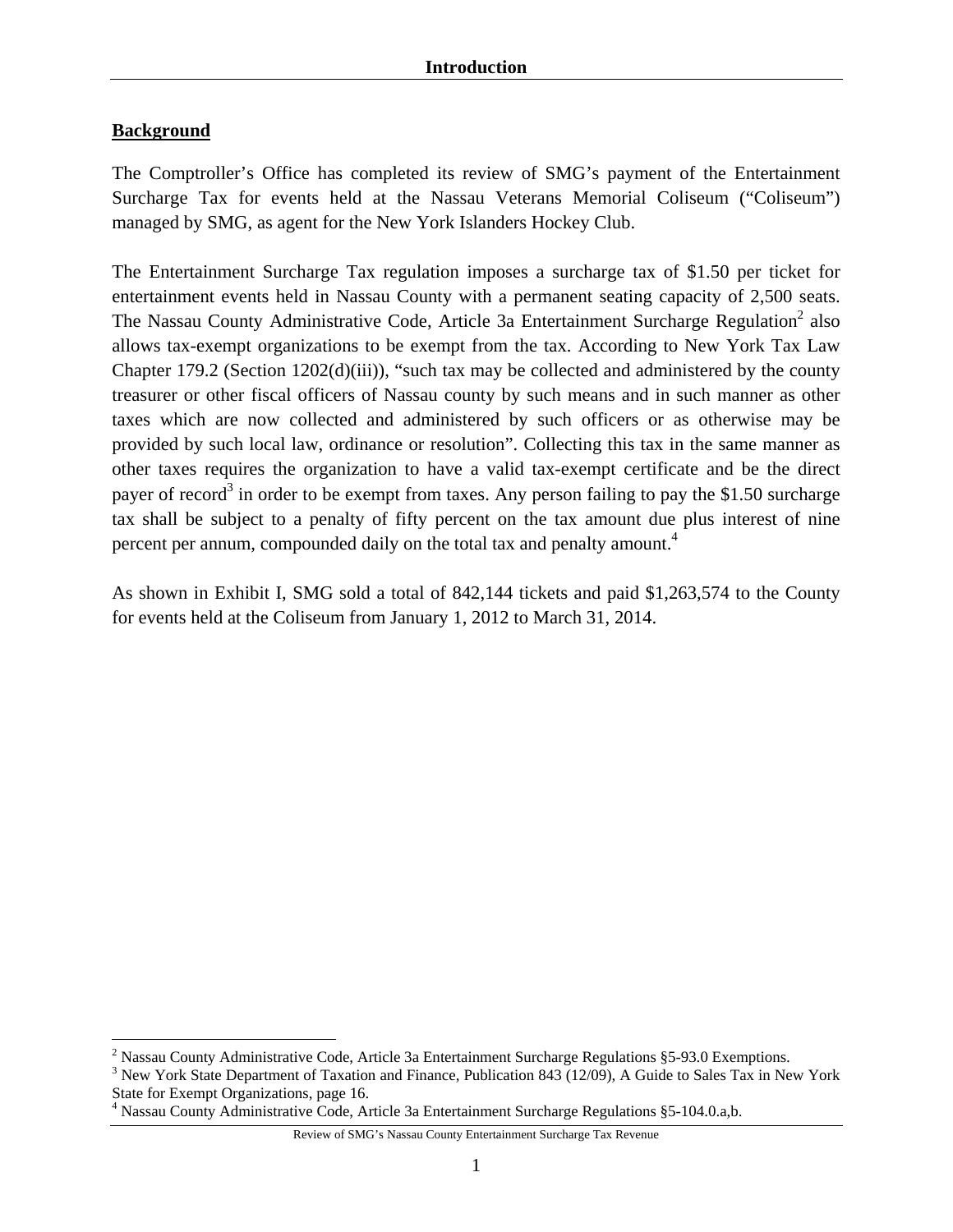# **Background**

 $\overline{a}$ 

The Comptroller's Office has completed its review of SMG's payment of the Entertainment Surcharge Tax for events held at the Nassau Veterans Memorial Coliseum ("Coliseum") managed by SMG, as agent for the New York Islanders Hockey Club.

The Entertainment Surcharge Tax regulation imposes a surcharge tax of \$1.50 per ticket for entertainment events held in Nassau County with a permanent seating capacity of 2,500 seats. The Nassau County Administrative Code, Article 3a Entertainment Surcharge Regulation<sup>2</sup> also allows tax-exempt organizations to be exempt from the tax. According to New York Tax Law Chapter 179.2 (Section 1202(d)(iii)), "such tax may be collected and administered by the county treasurer or other fiscal officers of Nassau county by such means and in such manner as other taxes which are now collected and administered by such officers or as otherwise may be provided by such local law, ordinance or resolution". Collecting this tax in the same manner as other taxes requires the organization to have a valid tax-exempt certificate and be the direct payer of record<sup>3</sup> in order to be exempt from taxes. Any person failing to pay the \$1.50 surcharge tax shall be subject to a penalty of fifty percent on the tax amount due plus interest of nine percent per annum, compounded daily on the total tax and penalty amount.<sup>4</sup>

As shown in Exhibit I, SMG sold a total of 842,144 tickets and paid \$1,263,574 to the County for events held at the Coliseum from January 1, 2012 to March 31, 2014.

<sup>&</sup>lt;sup>2</sup> Nassau County Administrative Code, Article 3a Entertainment Surcharge Regulations  $\S$ 5-93.0 Exemptions.

<sup>&</sup>lt;sup>3</sup> New York State Department of Taxation and Finance, Publication 843 (12/09), A Guide to Sales Tax in New York State for Exempt Organizations, page 16.

<sup>4</sup> Nassau County Administrative Code, Article 3a Entertainment Surcharge Regulations §5-104.0.a,b.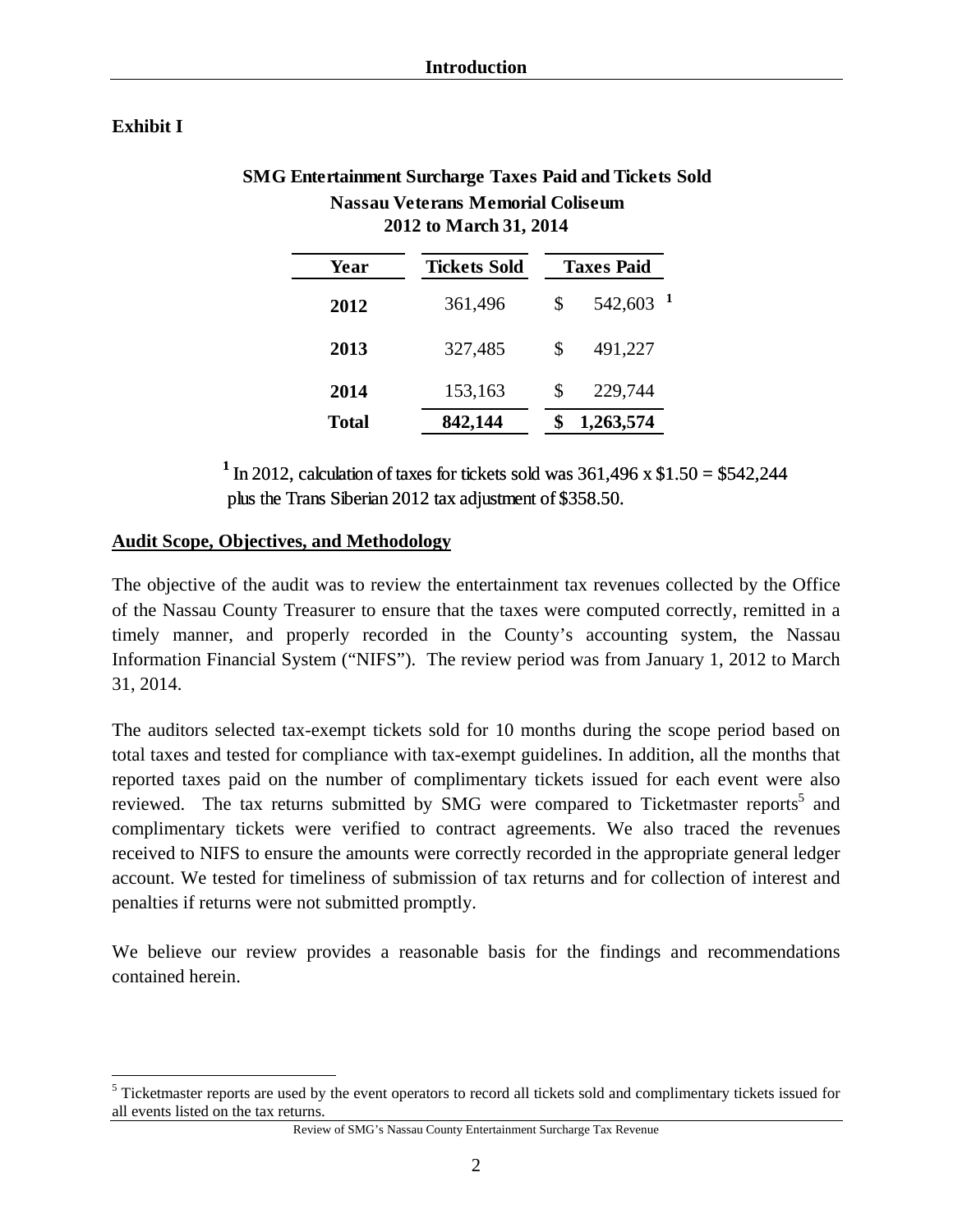### **Exhibit I**

 $\overline{a}$ 

| SMG Entertainment Surcharge Taxes Paid and Tickets Sold |
|---------------------------------------------------------|
| <b>Nassau Veterans Memorial Coliseum</b>                |
| 2012 to March 31, 2014                                  |

| Year         | <b>Tickets Sold</b> | <b>Taxes Paid</b> |           |  |
|--------------|---------------------|-------------------|-----------|--|
| 2012         | 361,496             | \$                | 542,603   |  |
| 2013         | 327,485             | \$                | 491,227   |  |
| 2014         | 153,163             | S                 | 229,744   |  |
| <b>Total</b> | 842,144             |                   | 1,263,574 |  |

<sup>1</sup> In 2012, calculation of taxes for tickets sold was  $361,496 \times $1.50 = $542,244$ plus the Trans Siberian 2012 tax adjustment of \$358.50.

#### **Audit Scope, Objectives, and Methodology**

The objective of the audit was to review the entertainment tax revenues collected by the Office of the Nassau County Treasurer to ensure that the taxes were computed correctly, remitted in a timely manner, and properly recorded in the County's accounting system, the Nassau Information Financial System ("NIFS"). The review period was from January 1, 2012 to March 31, 2014.

The auditors selected tax-exempt tickets sold for 10 months during the scope period based on total taxes and tested for compliance with tax-exempt guidelines. In addition, all the months that reported taxes paid on the number of complimentary tickets issued for each event were also reviewed. The tax returns submitted by SMG were compared to Ticketmaster reports<sup>5</sup> and complimentary tickets were verified to contract agreements. We also traced the revenues received to NIFS to ensure the amounts were correctly recorded in the appropriate general ledger account. We tested for timeliness of submission of tax returns and for collection of interest and penalties if returns were not submitted promptly.

We believe our review provides a reasonable basis for the findings and recommendations contained herein.

<sup>&</sup>lt;sup>5</sup> Ticketmaster reports are used by the event operators to record all tickets sold and complimentary tickets issued for all events listed on the tax returns.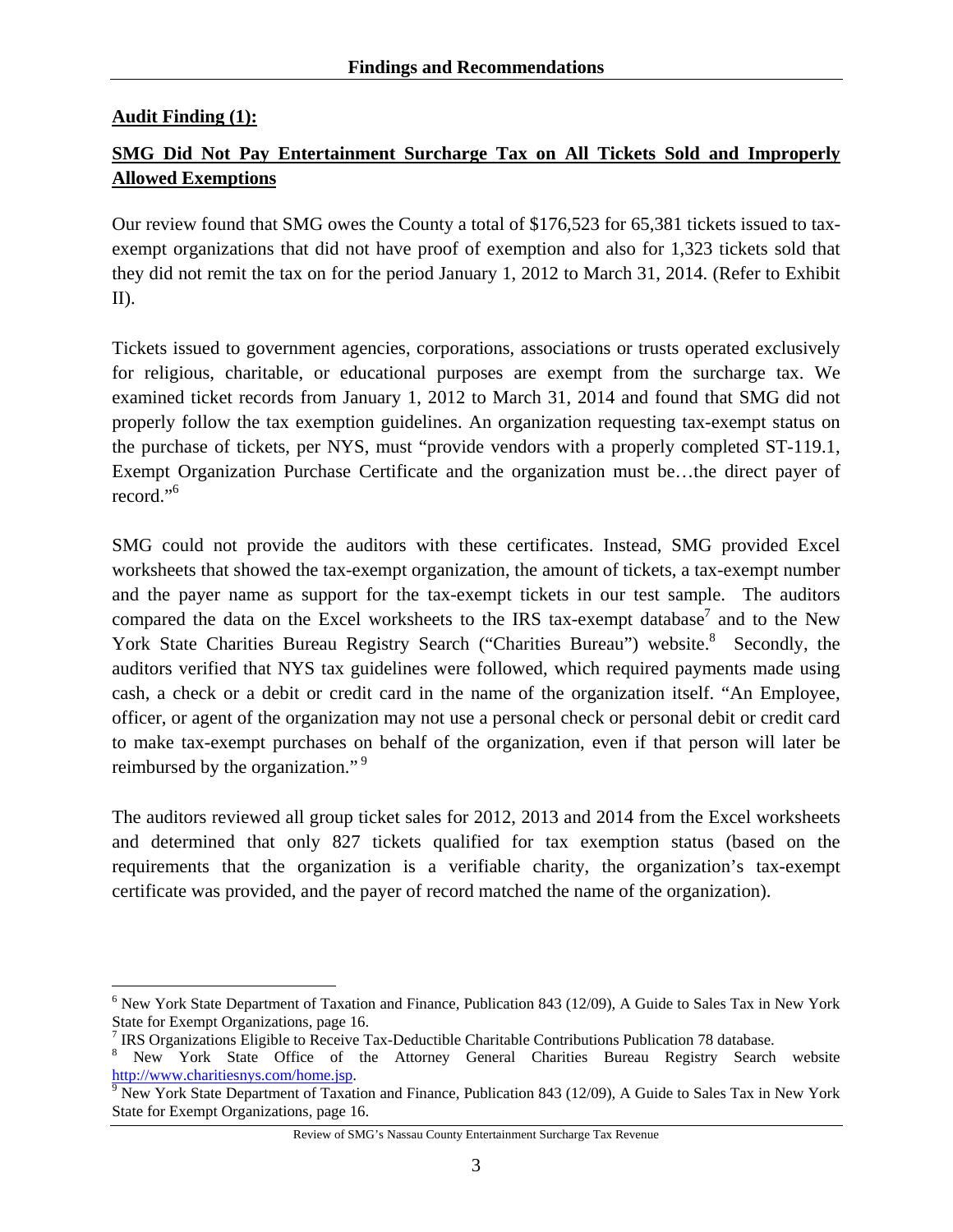### **Audit Finding (1):**

<u>.</u>

# **SMG Did Not Pay Entertainment Surcharge Tax on All Tickets Sold and Improperly Allowed Exemptions**

Our review found that SMG owes the County a total of \$176,523 for 65,381 tickets issued to taxexempt organizations that did not have proof of exemption and also for 1,323 tickets sold that they did not remit the tax on for the period January 1, 2012 to March 31, 2014. (Refer to Exhibit II).

Tickets issued to government agencies, corporations, associations or trusts operated exclusively for religious, charitable, or educational purposes are exempt from the surcharge tax. We examined ticket records from January 1, 2012 to March 31, 2014 and found that SMG did not properly follow the tax exemption guidelines. An organization requesting tax-exempt status on the purchase of tickets, per NYS, must "provide vendors with a properly completed ST-119.1, Exempt Organization Purchase Certificate and the organization must be…the direct payer of record."6

SMG could not provide the auditors with these certificates. Instead, SMG provided Excel worksheets that showed the tax-exempt organization, the amount of tickets, a tax-exempt number and the payer name as support for the tax-exempt tickets in our test sample. The auditors compared the data on the Excel worksheets to the IRS tax-exempt database<sup>7</sup> and to the New York State Charities Bureau Registry Search ("Charities Bureau") website.<sup>8</sup> Secondly, the auditors verified that NYS tax guidelines were followed, which required payments made using cash, a check or a debit or credit card in the name of the organization itself. "An Employee, officer, or agent of the organization may not use a personal check or personal debit or credit card to make tax-exempt purchases on behalf of the organization, even if that person will later be reimbursed by the organization."<sup>9</sup>

The auditors reviewed all group ticket sales for 2012, 2013 and 2014 from the Excel worksheets and determined that only 827 tickets qualified for tax exemption status (based on the requirements that the organization is a verifiable charity, the organization's tax-exempt certificate was provided, and the payer of record matched the name of the organization).

<sup>&</sup>lt;sup>6</sup> New York State Department of Taxation and Finance, Publication 843 (12/09), A Guide to Sales Tax in New York State for Exempt Organizations, page 16.

<sup>&</sup>lt;sup>7</sup> IRS Organizations Eligible to Receive Tax-Deductible Charitable Contributions Publication 78 database.

<sup>&</sup>lt;sup>8</sup> New York State Office of the Attorney General Charities Bureau Registry Search website http://www.charitiesnys.com/home.jsp. 9

<sup>&</sup>lt;sup>9</sup> New York State Department of Taxation and Finance, Publication 843 (12/09), A Guide to Sales Tax in New York State for Exempt Organizations, page 16.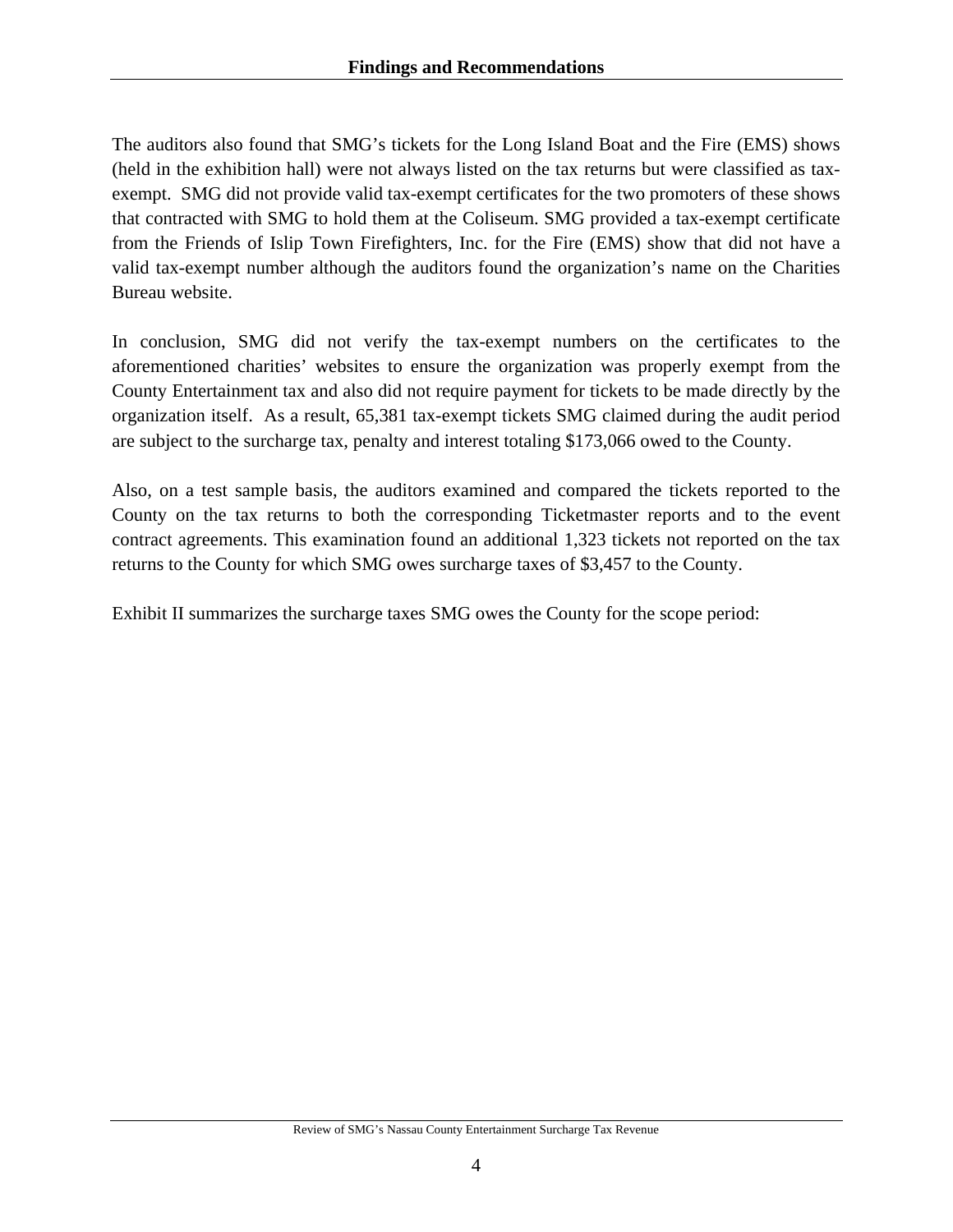The auditors also found that SMG's tickets for the Long Island Boat and the Fire (EMS) shows (held in the exhibition hall) were not always listed on the tax returns but were classified as taxexempt. SMG did not provide valid tax-exempt certificates for the two promoters of these shows that contracted with SMG to hold them at the Coliseum. SMG provided a tax-exempt certificate from the Friends of Islip Town Firefighters, Inc. for the Fire (EMS) show that did not have a valid tax-exempt number although the auditors found the organization's name on the Charities Bureau website.

In conclusion, SMG did not verify the tax-exempt numbers on the certificates to the aforementioned charities' websites to ensure the organization was properly exempt from the County Entertainment tax and also did not require payment for tickets to be made directly by the organization itself. As a result, 65,381 tax-exempt tickets SMG claimed during the audit period are subject to the surcharge tax, penalty and interest totaling \$173,066 owed to the County.

Also, on a test sample basis, the auditors examined and compared the tickets reported to the County on the tax returns to both the corresponding Ticketmaster reports and to the event contract agreements. This examination found an additional 1,323 tickets not reported on the tax returns to the County for which SMG owes surcharge taxes of \$3,457 to the County.

Exhibit II summarizes the surcharge taxes SMG owes the County for the scope period: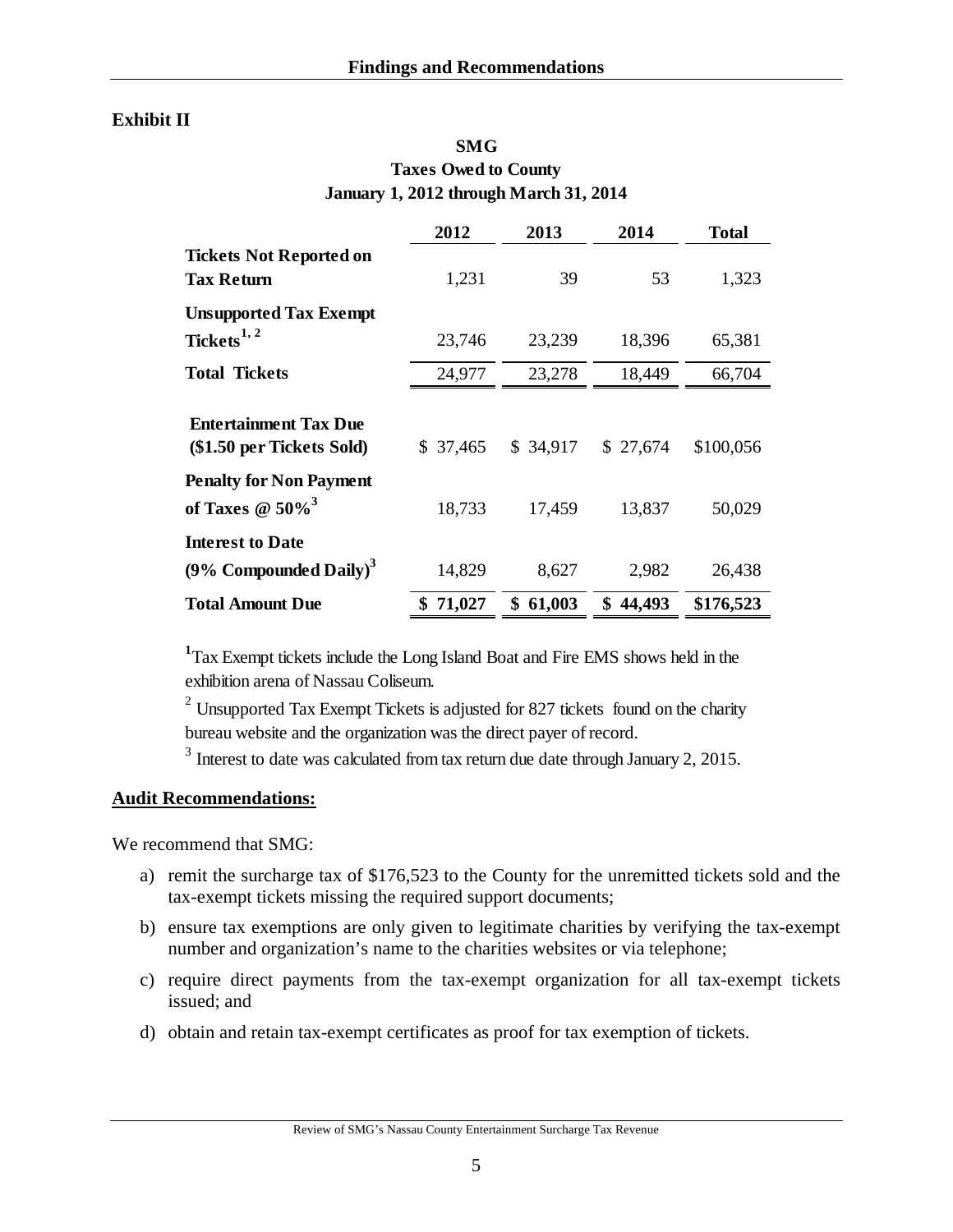## **Exhibit II**

| <b>SMG</b>                             |
|----------------------------------------|
| <b>Taxes Owed to County</b>            |
| January 1, 2012 through March 31, 2014 |

|                                                                      | 2012         | 2013     | 2014     | <b>Total</b> |
|----------------------------------------------------------------------|--------------|----------|----------|--------------|
| <b>Tickets Not Reported on</b><br><b>Tax Return</b>                  | 1,231        | 39       | 53       | 1,323        |
| <b>Unsupported Tax Exempt</b><br>Tickets <sup>1, 2</sup>             | 23,746       | 23,239   | 18,396   | 65,381       |
| <b>Total Tickets</b>                                                 | 24,977       | 23,278   | 18,449   | 66,704       |
| <b>Entertainment Tax Due</b><br>(\$1.50 per Tickets Sold)            | \$37,465     | \$34,917 | \$27,674 | \$100,056    |
| <b>Penalty for Non Payment</b><br>of Taxes $\omega$ 50% <sup>3</sup> | 18,733       | 17,459   | 13,837   | 50,029       |
| <b>Interest to Date</b><br>(9% Compounded Daily) <sup>3</sup>        | 14,829       | 8,627    | 2,982    | 26,438       |
| <b>Total Amount Due</b>                                              | 71,027<br>S. | \$61,003 | \$44,493 | \$176,523    |

**1** Tax Exempt tickets include the Long Island Boat and Fire EMS shows held in the exhibition arena of Nassau Coliseum.

<sup>2</sup> Unsupported Tax Exempt Tickets is adjusted for 827 tickets found on the charity bureau website and the organization was the direct payer of record.

 $3$  Interest to date was calculated from tax return due date through January 2, 2015.

#### **Audit Recommendations:**

We recommend that SMG:

- a) remit the surcharge tax of \$176,523 to the County for the unremitted tickets sold and the tax-exempt tickets missing the required support documents;
- b) ensure tax exemptions are only given to legitimate charities by verifying the tax-exempt number and organization's name to the charities websites or via telephone;
- c) require direct payments from the tax-exempt organization for all tax-exempt tickets issued; and
- d) obtain and retain tax-exempt certificates as proof for tax exemption of tickets.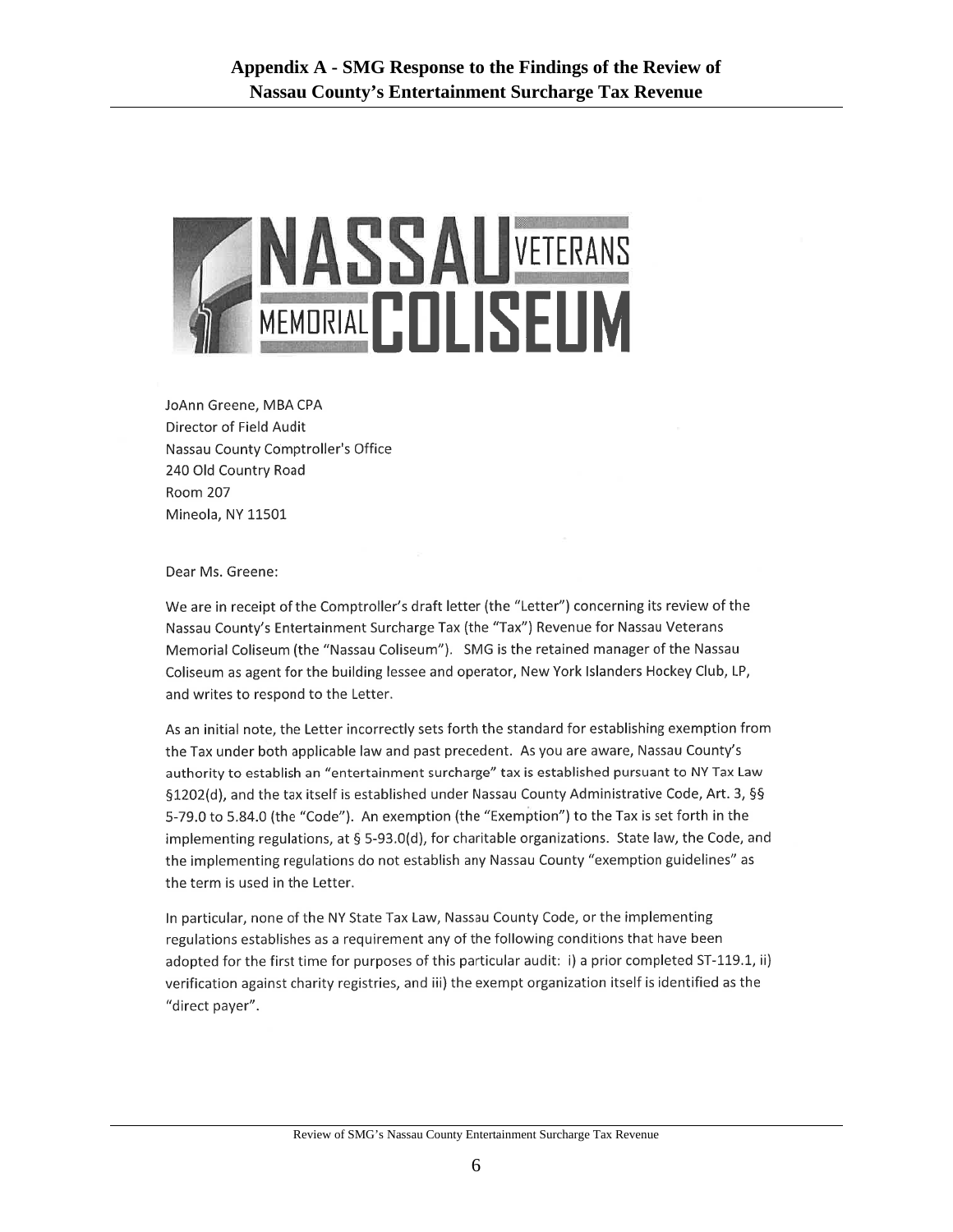

JoAnn Greene, MBA CPA Director of Field Audit Nassau County Comptroller's Office 240 Old Country Road **Room 207** Mineola, NY 11501

Dear Ms. Greene:

We are in receipt of the Comptroller's draft letter (the "Letter") concerning its review of the Nassau County's Entertainment Surcharge Tax (the "Tax") Revenue for Nassau Veterans Memorial Coliseum (the "Nassau Coliseum"). SMG is the retained manager of the Nassau Coliseum as agent for the building lessee and operator, New York Islanders Hockey Club, LP, and writes to respond to the Letter.

As an initial note, the Letter incorrectly sets forth the standard for establishing exemption from the Tax under both applicable law and past precedent. As you are aware, Nassau County's authority to establish an "entertainment surcharge" tax is established pursuant to NY Tax Law §1202(d), and the tax itself is established under Nassau County Administrative Code, Art. 3, §§ 5-79.0 to 5.84.0 (the "Code"). An exemption (the "Exemption") to the Tax is set forth in the implementing regulations, at § 5-93.0(d), for charitable organizations. State law, the Code, and the implementing regulations do not establish any Nassau County "exemption guidelines" as the term is used in the Letter.

In particular, none of the NY State Tax Law, Nassau County Code, or the implementing regulations establishes as a requirement any of the following conditions that have been adopted for the first time for purposes of this particular audit: i) a prior completed ST-119.1, ii) verification against charity registries, and iii) the exempt organization itself is identified as the "direct payer".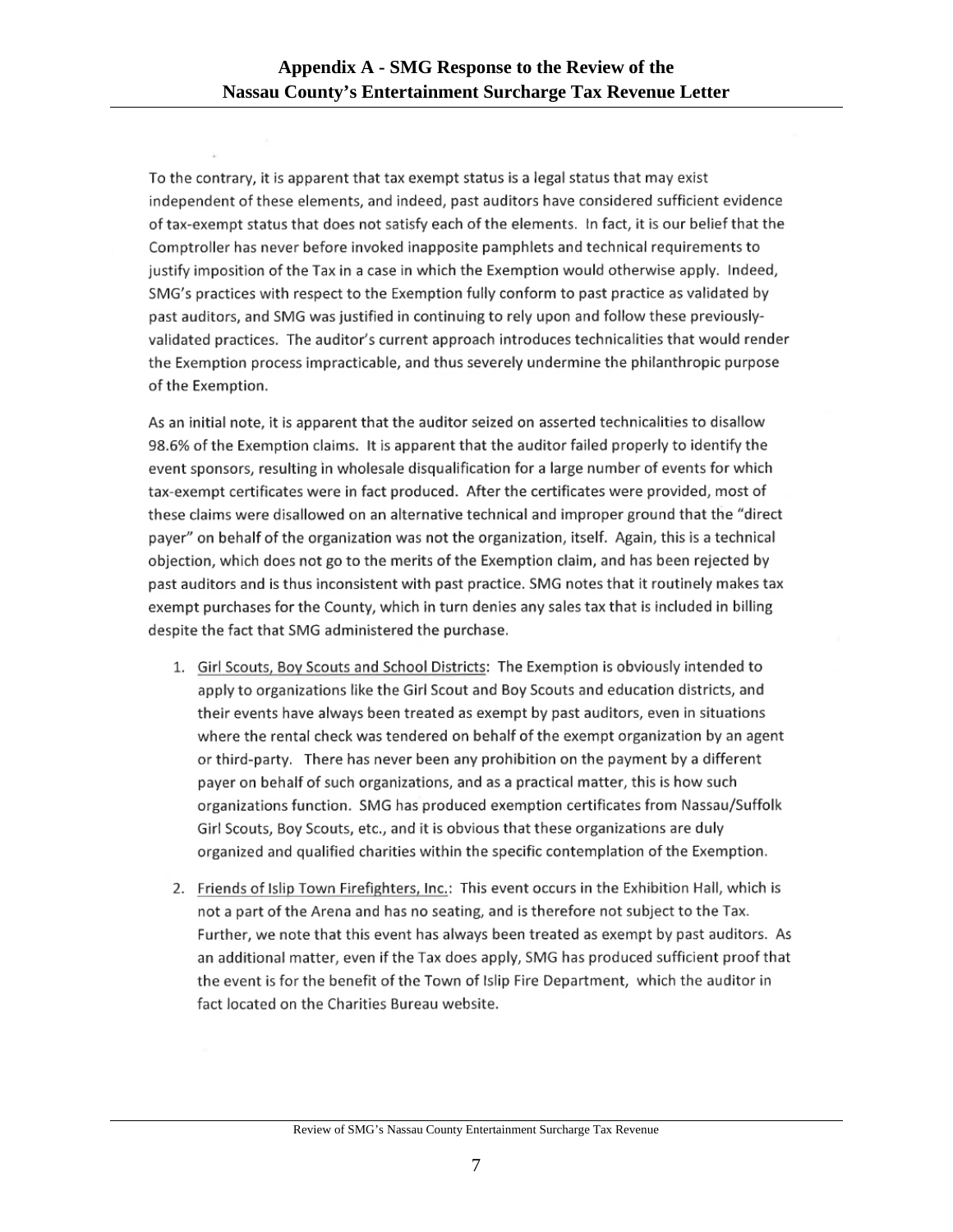To the contrary, it is apparent that tax exempt status is a legal status that may exist independent of these elements, and indeed, past auditors have considered sufficient evidence of tax-exempt status that does not satisfy each of the elements. In fact, it is our belief that the Comptroller has never before invoked inapposite pamphlets and technical requirements to justify imposition of the Tax in a case in which the Exemption would otherwise apply. Indeed, SMG's practices with respect to the Exemption fully conform to past practice as validated by past auditors, and SMG was justified in continuing to rely upon and follow these previouslyvalidated practices. The auditor's current approach introduces technicalities that would render the Exemption process impracticable, and thus severely undermine the philanthropic purpose of the Exemption.

As an initial note, it is apparent that the auditor seized on asserted technicalities to disallow 98.6% of the Exemption claims. It is apparent that the auditor failed properly to identify the event sponsors, resulting in wholesale disqualification for a large number of events for which tax-exempt certificates were in fact produced. After the certificates were provided, most of these claims were disallowed on an alternative technical and improper ground that the "direct payer" on behalf of the organization was not the organization, itself. Again, this is a technical objection, which does not go to the merits of the Exemption claim, and has been rejected by past auditors and is thus inconsistent with past practice. SMG notes that it routinely makes tax exempt purchases for the County, which in turn denies any sales tax that is included in billing despite the fact that SMG administered the purchase.

- 1. Girl Scouts, Boy Scouts and School Districts: The Exemption is obviously intended to apply to organizations like the Girl Scout and Boy Scouts and education districts, and their events have always been treated as exempt by past auditors, even in situations where the rental check was tendered on behalf of the exempt organization by an agent or third-party. There has never been any prohibition on the payment by a different payer on behalf of such organizations, and as a practical matter, this is how such organizations function. SMG has produced exemption certificates from Nassau/Suffolk Girl Scouts, Boy Scouts, etc., and it is obvious that these organizations are duly organized and qualified charities within the specific contemplation of the Exemption.
- 2. Friends of Islip Town Firefighters, Inc.: This event occurs in the Exhibition Hall, which is not a part of the Arena and has no seating, and is therefore not subject to the Tax. Further, we note that this event has always been treated as exempt by past auditors. As an additional matter, even if the Tax does apply, SMG has produced sufficient proof that the event is for the benefit of the Town of Islip Fire Department, which the auditor in fact located on the Charities Bureau website.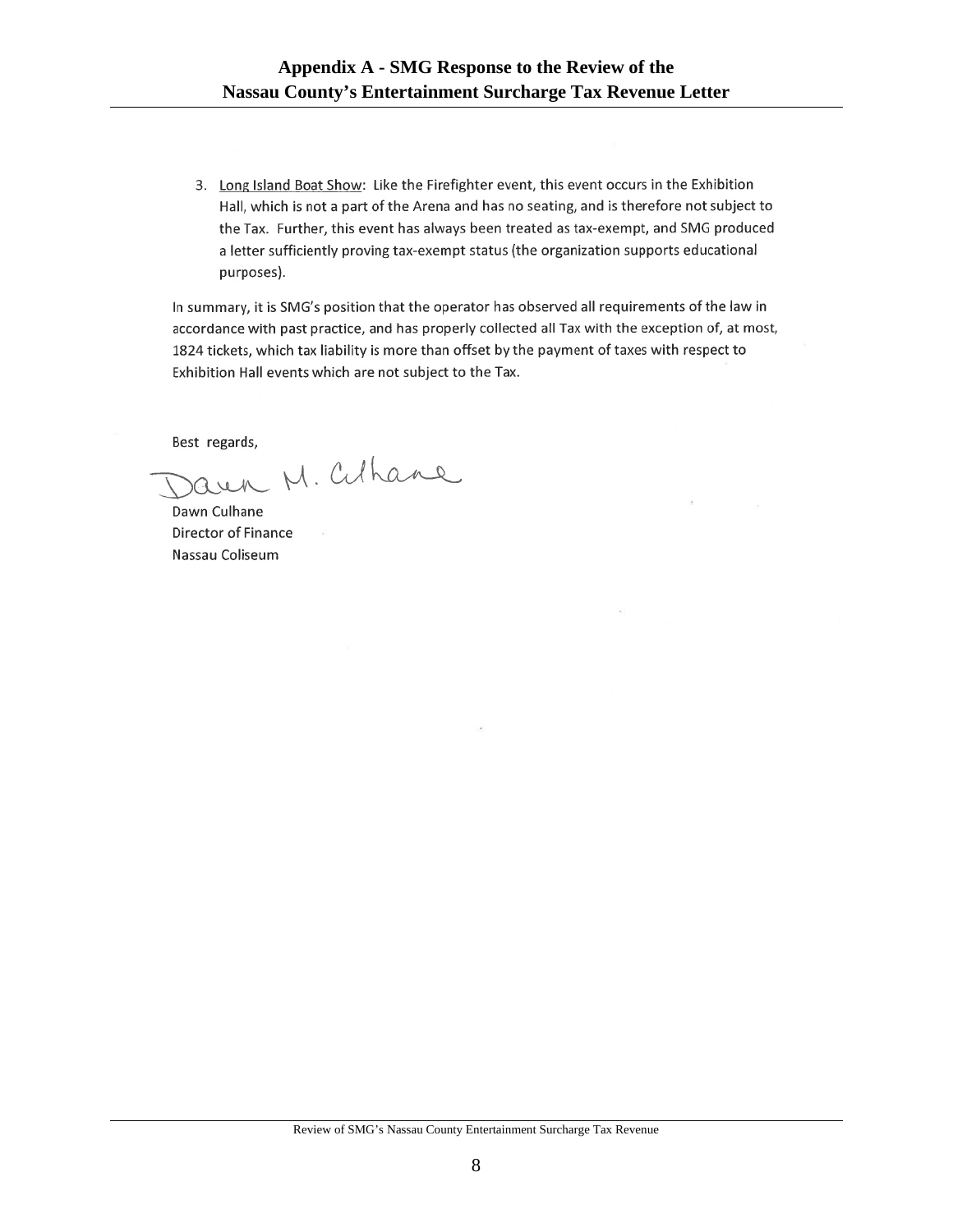3. Long Island Boat Show: Like the Firefighter event, this event occurs in the Exhibition Hall, which is not a part of the Arena and has no seating, and is therefore not subject to the Tax. Further, this event has always been treated as tax-exempt, and SMG produced a letter sufficiently proving tax-exempt status (the organization supports educational purposes).

In summary, it is SMG's position that the operator has observed all requirements of the law in accordance with past practice, and has properly collected all Tax with the exception of, at most, 1824 tickets, which tax liability is more than offset by the payment of taxes with respect to Exhibition Hall events which are not subject to the Tax.

Best regards,

Jaun M. Cuhane

Dawn Culhane Director of Finance Nassau Coliseum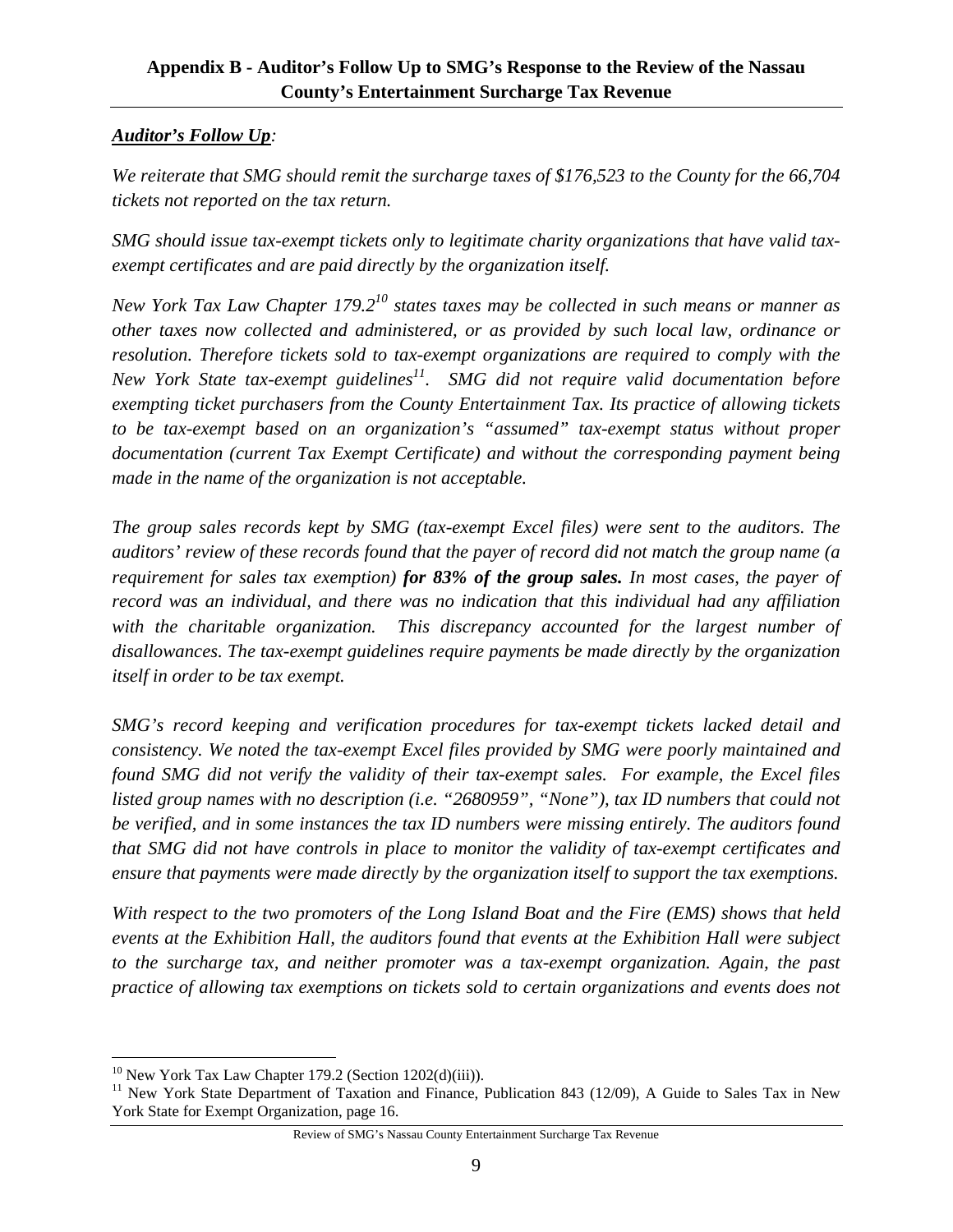# **Appendix B - Auditor's Follow Up to SMG's Response to the Review of the Nassau County's Entertainment Surcharge Tax Revenue**

# *Auditor's Follow Up:*

*We reiterate that SMG should remit the surcharge taxes of \$176,523 to the County for the 66,704 tickets not reported on the tax return.* 

*SMG should issue tax-exempt tickets only to legitimate charity organizations that have valid taxexempt certificates and are paid directly by the organization itself.* 

*New York Tax Law Chapter 179.210 states taxes may be collected in such means or manner as other taxes now collected and administered, or as provided by such local law, ordinance or resolution. Therefore tickets sold to tax-exempt organizations are required to comply with the New York State tax-exempt guidelines*<sup>11</sup>. SMG did not require valid documentation before *exempting ticket purchasers from the County Entertainment Tax. Its practice of allowing tickets to be tax-exempt based on an organization's "assumed" tax-exempt status without proper documentation (current Tax Exempt Certificate) and without the corresponding payment being made in the name of the organization is not acceptable.* 

*The group sales records kept by SMG (tax-exempt Excel files) were sent to the auditors. The auditors' review of these records found that the payer of record did not match the group name (a requirement for sales tax exemption) for 83% of the group sales. In most cases, the payer of record was an individual, and there was no indication that this individual had any affiliation*  with the charitable organization. This discrepancy accounted for the largest number of *disallowances. The tax-exempt guidelines require payments be made directly by the organization itself in order to be tax exempt.* 

*SMG's record keeping and verification procedures for tax-exempt tickets lacked detail and consistency. We noted the tax-exempt Excel files provided by SMG were poorly maintained and found SMG did not verify the validity of their tax-exempt sales. For example, the Excel files listed group names with no description (i.e. "2680959", "None"), tax ID numbers that could not be verified, and in some instances the tax ID numbers were missing entirely. The auditors found that SMG did not have controls in place to monitor the validity of tax-exempt certificates and ensure that payments were made directly by the organization itself to support the tax exemptions.* 

*With respect to the two promoters of the Long Island Boat and the Fire (EMS) shows that held events at the Exhibition Hall, the auditors found that events at the Exhibition Hall were subject to the surcharge tax, and neither promoter was a tax-exempt organization. Again, the past practice of allowing tax exemptions on tickets sold to certain organizations and events does not* 

 $\overline{a}$ 

<sup>&</sup>lt;sup>10</sup> New York Tax Law Chapter 179.2 (Section 1202(d)(iii)).<br><sup>11</sup> New York State Department of Taxation and Finance, Publication 843 (12/09), A Guide to Sales Tax in New York State for Exempt Organization, page 16.